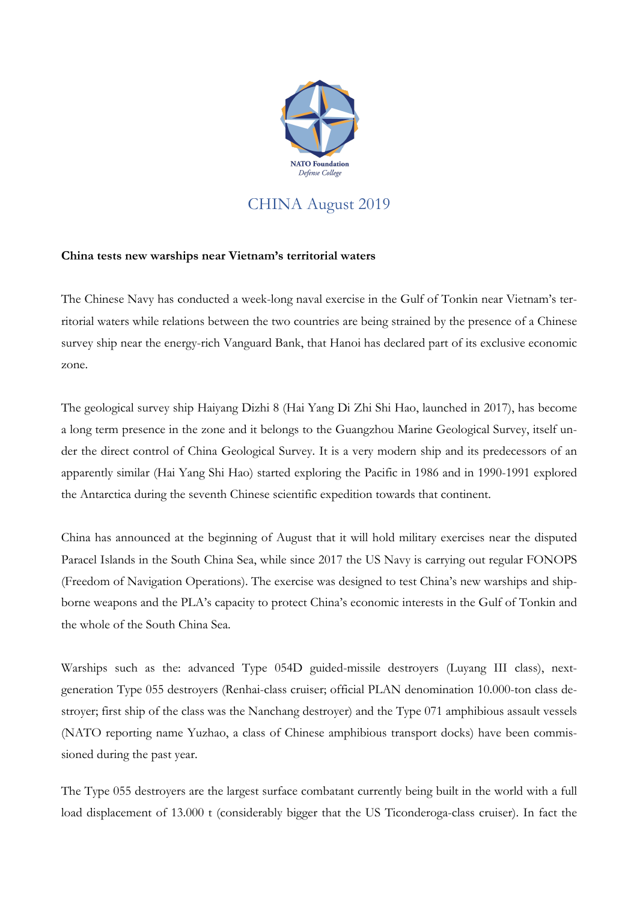

## CHINA August 2019

## **China tests new warships near Vietnam's territorial waters**

The Chinese Navy has conducted a week-long naval exercise in the Gulf of Tonkin near Vietnam's territorial waters while relations between the two countries are being strained by the presence of a Chinese survey ship near the energy-rich Vanguard Bank, that Hanoi has declared part of its exclusive economic zone.

The geological survey ship Haiyang Dizhi 8 (Hai Yang Di Zhi Shi Hao, launched in 2017), has become a long term presence in the zone and it belongs to the Guangzhou Marine Geological Survey, itself under the direct control of China Geological Survey. It is a very modern ship and its predecessors of an apparently similar (Hai Yang Shi Hao) started exploring the Pacific in 1986 and in 1990-1991 explored the Antarctica during the seventh Chinese scientific expedition towards that continent.

China has announced at the beginning of August that it will hold military exercises near the disputed Paracel Islands in the South China Sea, while since 2017 the US Navy is carrying out regular FONOPS (Freedom of Navigation Operations). The exercise was designed to test China's new warships and shipborne weapons and the PLA's capacity to protect China's economic interests in the Gulf of Tonkin and the whole of the South China Sea.

Warships such as the: advanced Type 054D guided-missile destroyers (Luyang III class), nextgeneration Type 055 destroyers (Renhai-class cruiser; official PLAN denomination 10.000-ton class destroyer; first ship of the class was the Nanchang destroyer) and the Type 071 amphibious assault vessels (NATO reporting name Yuzhao, a class of Chinese amphibious transport docks) have been commissioned during the past year.

The Type 055 destroyers are the largest surface combatant currently being built in the world with a full load displacement of 13.000 t (considerably bigger that the US Ticonderoga-class cruiser). In fact the